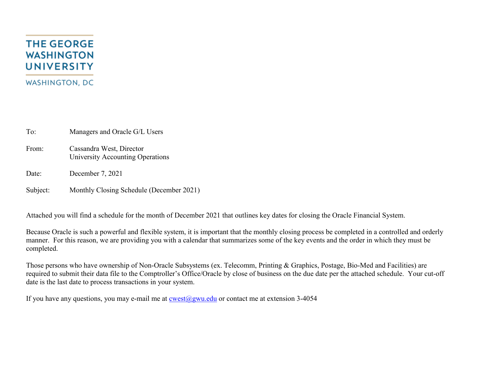# **THE GEORGE WASHINGTON UNIVERSITY WASHINGTON, DC**

To: Managers and Oracle G/L Users

- From: Cassandra West, Director University Accounting Operations
- Date: December 7, 2021

Subject: Monthly Closing Schedule (December 2021)

Attached you will find a schedule for the month of December 2021 that outlines key dates for closing the Oracle Financial System.

Because Oracle is such a powerful and flexible system, it is important that the monthly closing process be completed in a controlled and orderly manner. For this reason, we are providing you with a calendar that summarizes some of the key events and the order in which they must be completed.

Those persons who have ownership of Non-Oracle Subsystems (ex. Telecomm, Printing & Graphics, Postage, Bio-Med and Facilities) are required to submit their data file to the Comptroller's Office/Oracle by close of business on the due date per the attached schedule. Your cut-off date is the last date to process transactions in your system.

If you have any questions, you may e-mail me at  $\cos(\omega)$ gwu.edu or contact me at extension 3-4054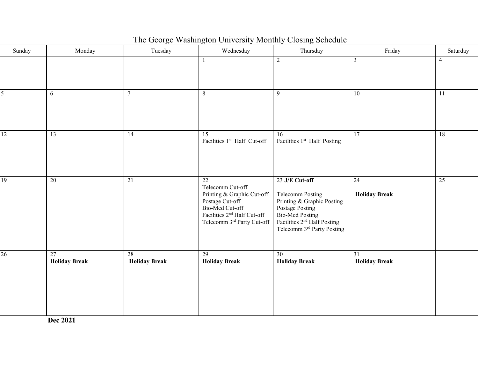| Sunday          | Monday                     | Tuesday                    | Wednesday                                                                                                                                                           | Thursday                                                                                                                                                                               | Friday                                  | Saturday       |
|-----------------|----------------------------|----------------------------|---------------------------------------------------------------------------------------------------------------------------------------------------------------------|----------------------------------------------------------------------------------------------------------------------------------------------------------------------------------------|-----------------------------------------|----------------|
|                 |                            |                            | $\mathbf{1}$                                                                                                                                                        | 2                                                                                                                                                                                      | $\overline{3}$                          | $\overline{4}$ |
| 5               | 6                          | $\overline{7}$             | 8                                                                                                                                                                   | $\overline{9}$                                                                                                                                                                         | 10                                      | 11             |
| $\overline{12}$ | 13                         | 14                         | 15<br>Facilities 1st Half Cut-off                                                                                                                                   | 16<br>Facilities 1st Half Posting                                                                                                                                                      | 17                                      | 18             |
| $\overline{19}$ | 20                         | 21                         | 22<br>Telecomm Cut-off<br>Printing & Graphic Cut-off<br>Postage Cut-off<br>Bio-Med Cut-off<br>Facilities 2 <sup>nd</sup> Half Cut-off<br>Telecomm 3rd Party Cut-off | 23 J/E Cut-off<br>Telecomm Posting<br>Printing & Graphic Posting<br>Postage Posting<br><b>Bio-Med Posting</b><br>Facilities 2 <sup>nd</sup> Half Posting<br>Telecomm 3rd Party Posting | 24<br><b>Holiday Break</b>              | 25             |
| 26              | 27<br><b>Holiday Break</b> | 28<br><b>Holiday Break</b> | 29<br><b>Holiday Break</b>                                                                                                                                          | 30 <sup>°</sup><br><b>Holiday Break</b>                                                                                                                                                | $\overline{31}$<br><b>Holiday Break</b> |                |

## The George Washington University Monthly Closing Schedule

**Dec 2021**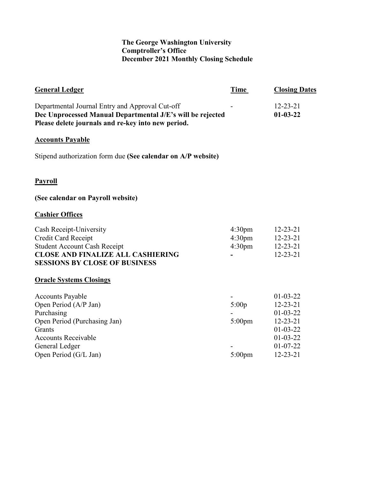### **The George Washington University Comptroller's Office December 2021 Monthly Closing Schedule**

| <b>General Ledger</b>                                                                                                                                                             | Time                                                           | <b>Closing Dates</b>                                                                                                                     |
|-----------------------------------------------------------------------------------------------------------------------------------------------------------------------------------|----------------------------------------------------------------|------------------------------------------------------------------------------------------------------------------------------------------|
| Departmental Journal Entry and Approval Cut-off<br>Dec Unprocessed Manual Departmental J/E's will be rejected<br>Please delete journals and re-key into new period.               |                                                                | $12 - 23 - 21$<br>$01-03-22$                                                                                                             |
| <b>Accounts Payable</b>                                                                                                                                                           |                                                                |                                                                                                                                          |
| Stipend authorization form due (See calendar on A/P website)                                                                                                                      |                                                                |                                                                                                                                          |
| <b>Payroll</b>                                                                                                                                                                    |                                                                |                                                                                                                                          |
| (See calendar on Payroll website)                                                                                                                                                 |                                                                |                                                                                                                                          |
| <b>Cashier Offices</b>                                                                                                                                                            |                                                                |                                                                                                                                          |
| Cash Receipt-University<br>Credit Card Receipt<br><b>Student Account Cash Receipt</b><br><b>CLOSE AND FINALIZE ALL CASHIERING</b><br><b>SESSIONS BY CLOSE OF BUSINESS</b>         | 4:30 <sub>pm</sub><br>4:30 <sub>pm</sub><br>4:30 <sub>pm</sub> | $12 - 23 - 21$<br>$12 - 23 - 21$<br>$12 - 23 - 21$<br>$12 - 23 - 21$                                                                     |
| <b>Oracle Systems Closings</b>                                                                                                                                                    |                                                                |                                                                                                                                          |
| <b>Accounts Payable</b><br>Open Period (A/P Jan)<br>Purchasing<br>Open Period (Purchasing Jan)<br>Grants<br><b>Accounts Receivable</b><br>General Ledger<br>Open Period (G/L Jan) | 5:00p<br>$5:00$ pm<br>$5:00$ pm                                | $01-03-22$<br>$12 - 23 - 21$<br>$01 - 03 - 22$<br>$12 - 23 - 21$<br>$01 - 03 - 22$<br>$01 - 03 - 22$<br>$01 - 07 - 22$<br>$12 - 23 - 21$ |
|                                                                                                                                                                                   |                                                                |                                                                                                                                          |